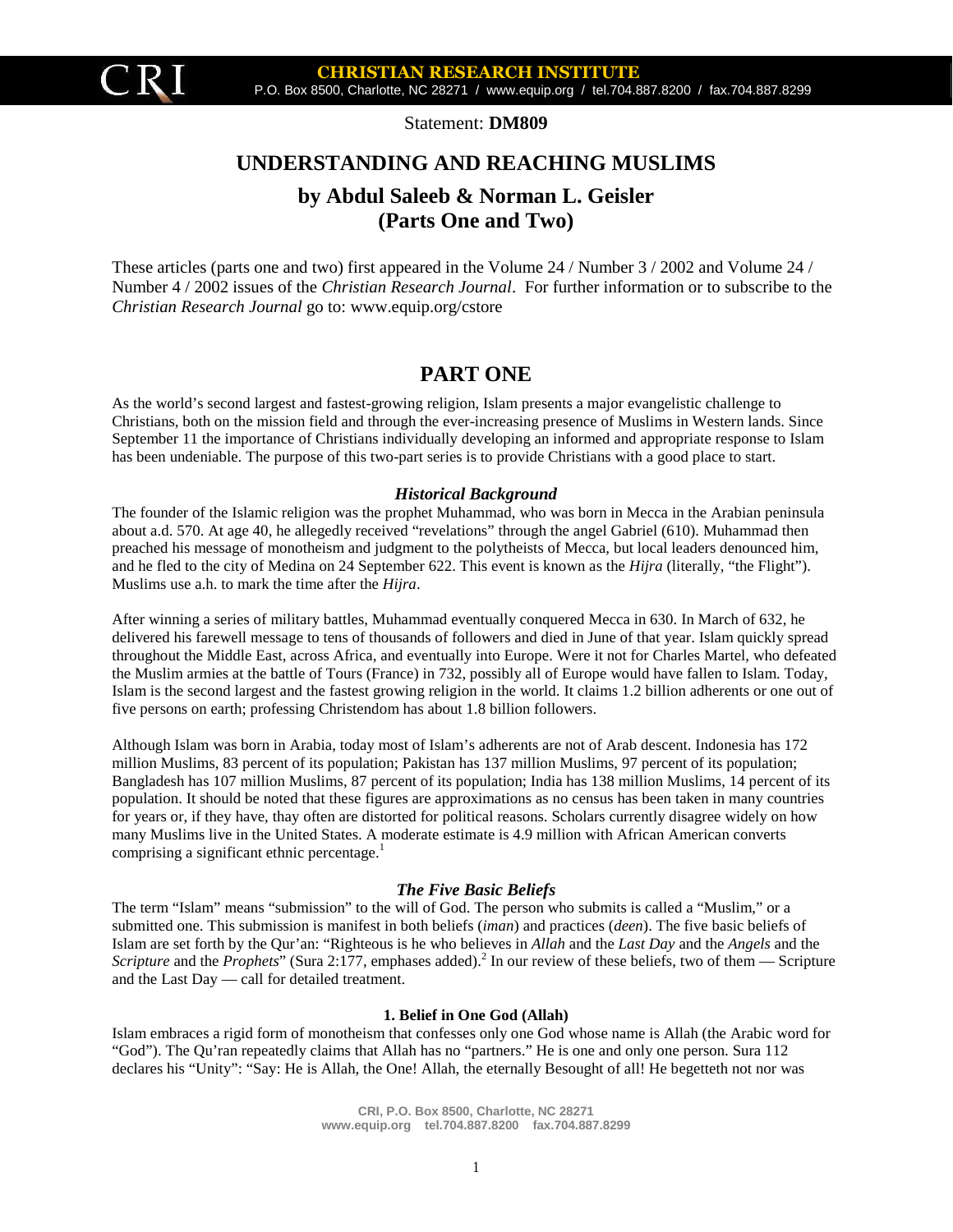

Statement: **DM809**

# **UNDERSTANDING AND REACHING MUSLIMS by Abdul Saleeb & Norman L. Geisler (Parts One and Two)**

These articles (parts one and two) first appeared in the Volume 24 / Number 3 / 2002 and Volume 24 / Number 4 / 2002 issues of the *Christian Research Journal*. For further information or to subscribe to the *Christian Research Journal* go to: www.equip.org/cstore

# **PART ONE**

As the world's second largest and fastest-growing religion, Islam presents a major evangelistic challenge to Christians, both on the mission field and through the ever-increasing presence of Muslims in Western lands. Since September 11 the importance of Christians individually developing an informed and appropriate response to Islam has been undeniable. The purpose of this two-part series is to provide Christians with a good place to start.

#### *Historical Background*

The founder of the Islamic religion was the prophet Muhammad, who was born in Mecca in the Arabian peninsula about a.d. 570. At age 40, he allegedly received "revelations" through the angel Gabriel (610). Muhammad then preached his message of monotheism and judgment to the polytheists of Mecca, but local leaders denounced him, and he fled to the city of Medina on 24 September 622. This event is known as the *Hijra* (literally, "the Flight"). Muslims use a.h. to mark the time after the *Hijra*.

After winning a series of military battles, Muhammad eventually conquered Mecca in 630. In March of 632, he delivered his farewell message to tens of thousands of followers and died in June of that year. Islam quickly spread throughout the Middle East, across Africa, and eventually into Europe. Were it not for Charles Martel, who defeated the Muslim armies at the battle of Tours (France) in 732, possibly all of Europe would have fallen to Islam. Today, Islam is the second largest and the fastest growing religion in the world. It claims 1.2 billion adherents or one out of five persons on earth; professing Christendom has about 1.8 billion followers.

Although Islam was born in Arabia, today most of Islam's adherents are not of Arab descent. Indonesia has 172 million Muslims, 83 percent of its population; Pakistan has 137 million Muslims, 97 percent of its population; Bangladesh has 107 million Muslims, 87 percent of its population; India has 138 million Muslims, 14 percent of its population. It should be noted that these figures are approximations as no census has been taken in many countries for years or, if they have, thay often are distorted for political reasons. Scholars currently disagree widely on how many Muslims live in the United States. A moderate estimate is 4.9 million with African American converts comprising a significant ethnic percentage.<sup>1</sup>

#### *The Five Basic Beliefs*

The term "Islam" means "submission" to the will of God. The person who submits is called a "Muslim," or a submitted one. This submission is manifest in both beliefs (*iman*) and practices (*deen*). The five basic beliefs of Islam are set forth by the Qur'an: "Righteous is he who believes in *Allah* and the *Last Day* and the *Angels* and the *Scripture* and the *Prophets*" (Sura 2:177, emphases added).<sup>2</sup> In our review of these beliefs, two of them — Scripture and the Last Day — call for detailed treatment.

#### **1. Belief in One God (Allah)**

Islam embraces a rigid form of monotheism that confesses only one God whose name is Allah (the Arabic word for "God"). The Qu'ran repeatedly claims that Allah has no "partners." He is one and only one person. Sura 112 declares his "Unity": "Say: He is Allah, the One! Allah, the eternally Besought of all! He begetteth not nor was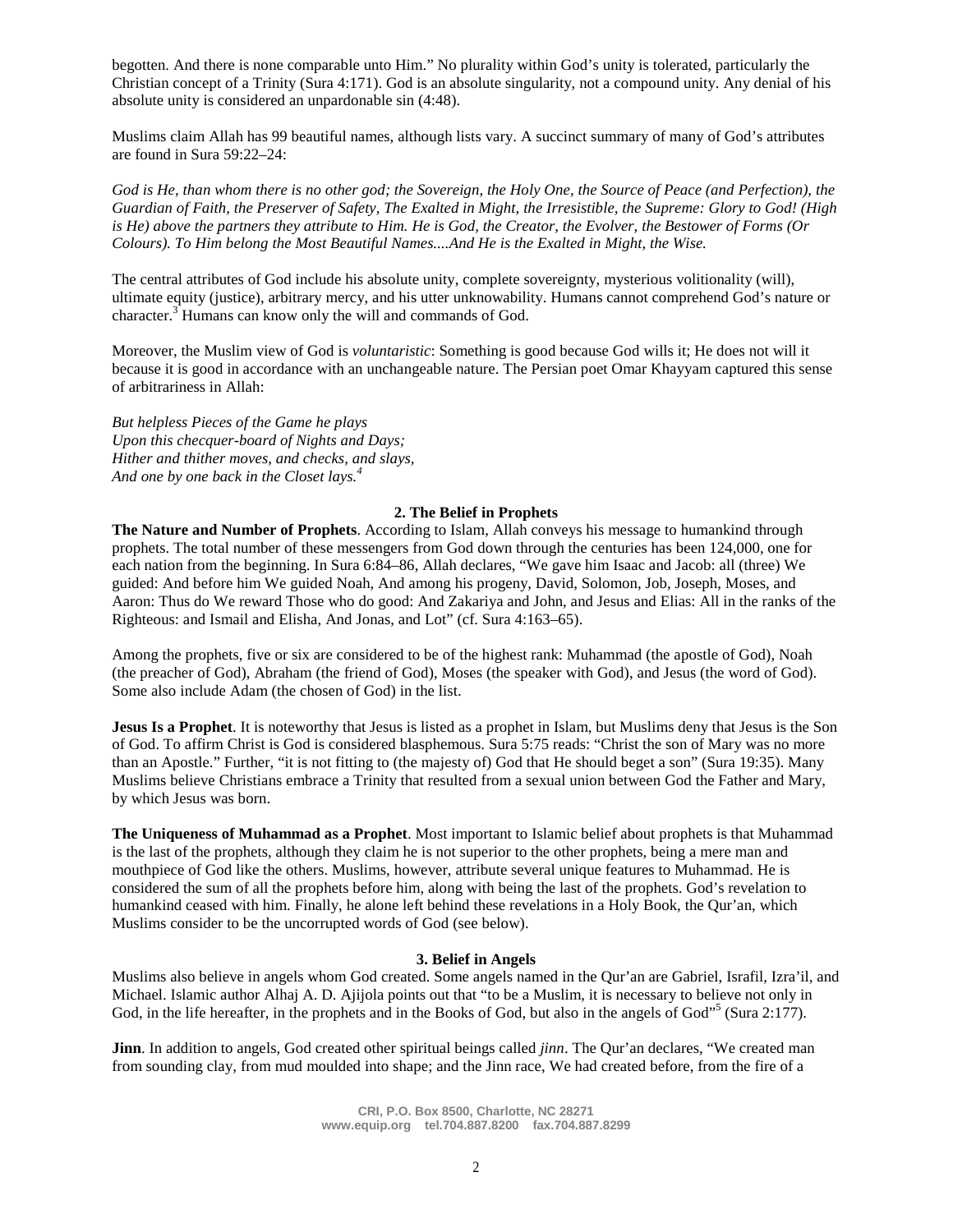begotten. And there is none comparable unto Him." No plurality within God's unity is tolerated, particularly the Christian concept of a Trinity (Sura 4:171). God is an absolute singularity, not a compound unity. Any denial of his absolute unity is considered an unpardonable sin (4:48).

Muslims claim Allah has 99 beautiful names, although lists vary. A succinct summary of many of God's attributes are found in Sura 59:22–24:

*God is He, than whom there is no other god; the Sovereign, the Holy One, the Source of Peace (and Perfection), the Guardian of Faith, the Preserver of Safety, The Exalted in Might, the Irresistible, the Supreme: Glory to God! (High is He) above the partners they attribute to Him. He is God, the Creator, the Evolver, the Bestower of Forms (Or Colours). To Him belong the Most Beautiful Names....And He is the Exalted in Might, the Wise.*

The central attributes of God include his absolute unity, complete sovereignty, mysterious volitionality (will), ultimate equity (justice), arbitrary mercy, and his utter unknowability. Humans cannot comprehend God's nature or character.<sup>3</sup> Humans can know only the will and commands of God.

Moreover, the Muslim view of God is *voluntaristic*: Something is good because God wills it; He does not will it because it is good in accordance with an unchangeable nature. The Persian poet Omar Khayyam captured this sense of arbitrariness in Allah:

*But helpless Pieces of the Game he plays Upon this checquer-board of Nights and Days; Hither and thither moves, and checks, and slays, And one by one back in the Closet lays.<sup>4</sup>*

#### **2. The Belief in Prophets**

**The Nature and Number of Prophets**. According to Islam, Allah conveys his message to humankind through prophets. The total number of these messengers from God down through the centuries has been 124,000, one for each nation from the beginning. In Sura 6:84–86, Allah declares, "We gave him Isaac and Jacob: all (three) We guided: And before him We guided Noah, And among his progeny, David, Solomon, Job, Joseph, Moses, and Aaron: Thus do We reward Those who do good: And Zakariya and John, and Jesus and Elias: All in the ranks of the Righteous: and Ismail and Elisha, And Jonas, and Lot" (cf. Sura 4:163–65).

Among the prophets, five or six are considered to be of the highest rank: Muhammad (the apostle of God), Noah (the preacher of God), Abraham (the friend of God), Moses (the speaker with God), and Jesus (the word of God). Some also include Adam (the chosen of God) in the list.

**Jesus Is a Prophet**. It is noteworthy that Jesus is listed as a prophet in Islam, but Muslims deny that Jesus is the Son of God. To affirm Christ is God is considered blasphemous. Sura 5:75 reads: "Christ the son of Mary was no more than an Apostle." Further, "it is not fitting to (the majesty of) God that He should beget a son" (Sura 19:35). Many Muslims believe Christians embrace a Trinity that resulted from a sexual union between God the Father and Mary, by which Jesus was born.

**The Uniqueness of Muhammad as a Prophet**. Most important to Islamic belief about prophets is that Muhammad is the last of the prophets, although they claim he is not superior to the other prophets, being a mere man and mouthpiece of God like the others. Muslims, however, attribute several unique features to Muhammad. He is considered the sum of all the prophets before him, along with being the last of the prophets. God's revelation to humankind ceased with him. Finally, he alone left behind these revelations in a Holy Book, the Qur'an, which Muslims consider to be the uncorrupted words of God (see below).

### **3. Belief in Angels**

Muslims also believe in angels whom God created. Some angels named in the Qur'an are Gabriel, Israfil, Izra'il, and Michael. Islamic author Alhaj A. D. Ajijola points out that "to be a Muslim, it is necessary to believe not only in God, in the life hereafter, in the prophets and in the Books of God, but also in the angels of God"<sup>5</sup> (Sura 2:177).

**Jinn**. In addition to angels, God created other spiritual beings called *jinn*. The Qur'an declares, "We created man from sounding clay, from mud moulded into shape; and the Jinn race, We had created before, from the fire of a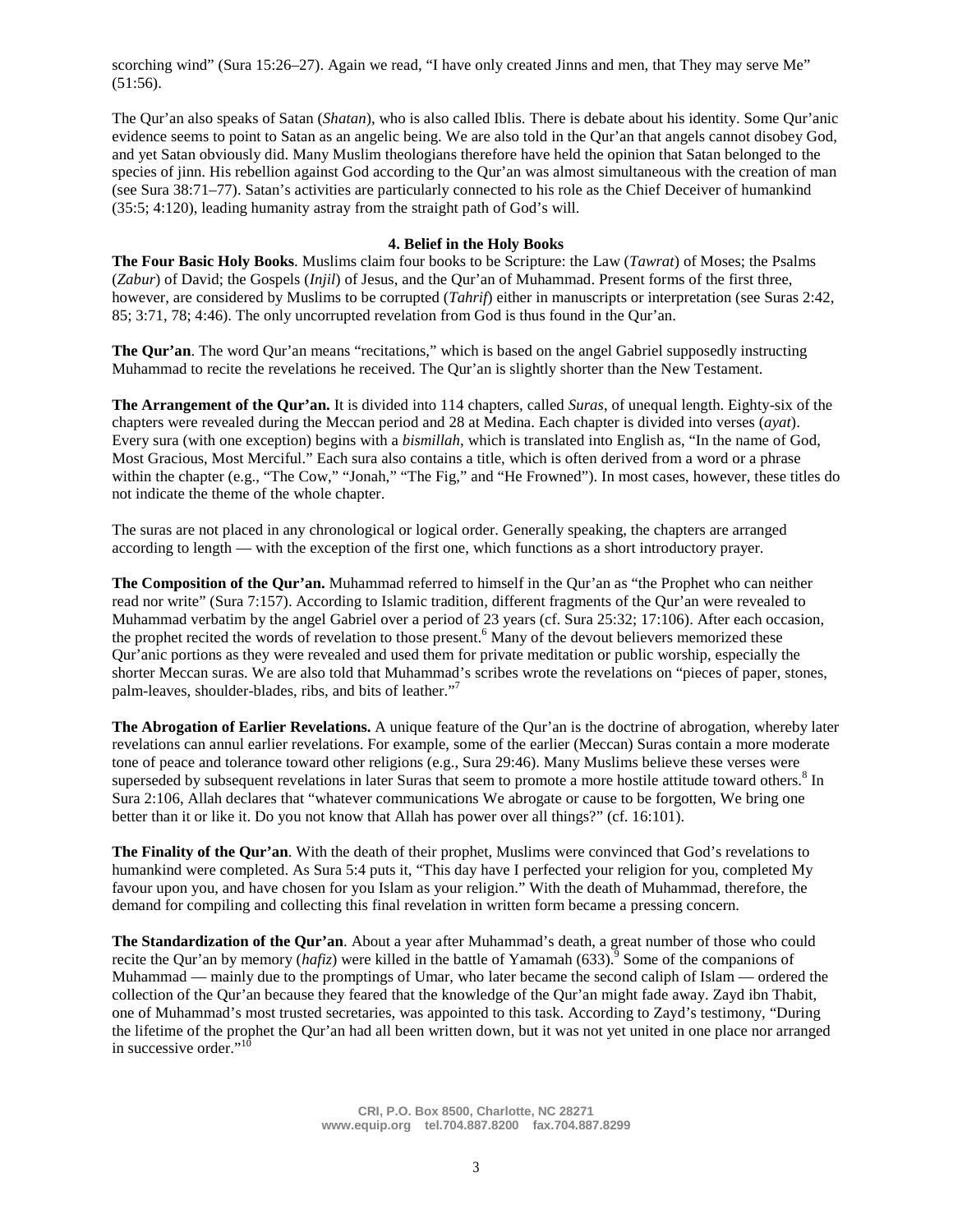scorching wind" (Sura 15:26–27). Again we read, "I have only created Jinns and men, that They may serve Me"  $(51:56)$ .

The Qur'an also speaks of Satan (*Shatan*), who is also called Iblis. There is debate about his identity. Some Qur'anic evidence seems to point to Satan as an angelic being. We are also told in the Qur'an that angels cannot disobey God, and yet Satan obviously did. Many Muslim theologians therefore have held the opinion that Satan belonged to the species of jinn. His rebellion against God according to the Qur'an was almost simultaneous with the creation of man (see Sura 38:71–77). Satan's activities are particularly connected to his role as the Chief Deceiver of humankind (35:5; 4:120), leading humanity astray from the straight path of God's will.

#### **4. Belief in the Holy Books**

**The Four Basic Holy Books**. Muslims claim four books to be Scripture: the Law (*Tawrat*) of Moses; the Psalms (*Zabur*) of David; the Gospels (*Injil*) of Jesus, and the Qur'an of Muhammad. Present forms of the first three, however, are considered by Muslims to be corrupted (*Tahrif*) either in manuscripts or interpretation (see Suras 2:42, 85; 3:71, 78; 4:46). The only uncorrupted revelation from God is thus found in the Qur'an.

**The Qur'an**. The word Qur'an means "recitations," which is based on the angel Gabriel supposedly instructing Muhammad to recite the revelations he received. The Qur'an is slightly shorter than the New Testament.

**The Arrangement of the Qur'an.** It is divided into 114 chapters, called *Suras*, of unequal length. Eighty-six of the chapters were revealed during the Meccan period and 28 at Medina. Each chapter is divided into verses (*ayat*). Every sura (with one exception) begins with a *bismillah*, which is translated into English as, "In the name of God, Most Gracious, Most Merciful." Each sura also contains a title, which is often derived from a word or a phrase within the chapter (e.g., "The Cow," "Jonah," "The Fig," and "He Frowned"). In most cases, however, these titles do not indicate the theme of the whole chapter.

The suras are not placed in any chronological or logical order. Generally speaking, the chapters are arranged according to length — with the exception of the first one, which functions as a short introductory prayer.

**The Composition of the Qur'an.** Muhammad referred to himself in the Qur'an as "the Prophet who can neither read nor write" (Sura 7:157). According to Islamic tradition, different fragments of the Qur'an were revealed to Muhammad verbatim by the angel Gabriel over a period of 23 years (cf. Sura 25:32; 17:106). After each occasion, the prophet recited the words of revelation to those present.<sup>6</sup> Many of the devout believers memorized these Qur'anic portions as they were revealed and used them for private meditation or public worship, especially the shorter Meccan suras. We are also told that Muhammad's scribes wrote the revelations on "pieces of paper, stones, palm-leaves, shoulder-blades, ribs, and bits of leather."<sup>7</sup>

**The Abrogation of Earlier Revelations.** A unique feature of the Qur'an is the doctrine of abrogation, whereby later revelations can annul earlier revelations. For example, some of the earlier (Meccan) Suras contain a more moderate tone of peace and tolerance toward other religions (e.g., Sura 29:46). Many Muslims believe these verses were superseded by subsequent revelations in later Suras that seem to promote a more hostile attitude toward others.<sup>8</sup> In Sura 2:106, Allah declares that "whatever communications We abrogate or cause to be forgotten, We bring one better than it or like it. Do you not know that Allah has power over all things?" (cf. 16:101).

**The Finality of the Qur'an**. With the death of their prophet, Muslims were convinced that God's revelations to humankind were completed. As Sura 5:4 puts it, "This day have I perfected your religion for you, completed My favour upon you, and have chosen for you Islam as your religion." With the death of Muhammad, therefore, the demand for compiling and collecting this final revelation in written form became a pressing concern.

**The Standardization of the Qur'an**. About a year after Muhammad's death, a great number of those who could recite the Qur'an by memory (*hafiz*) were killed in the battle of Yamamah (633).<sup>9</sup> Some of the companions of Muhammad — mainly due to the promptings of Umar, who later became the second caliph of Islam — ordered the collection of the Qur'an because they feared that the knowledge of the Qur'an might fade away. Zayd ibn Thabit, one of Muhammad's most trusted secretaries, was appointed to this task. According to Zayd's testimony, "During the lifetime of the prophet the Qur'an had all been written down, but it was not yet united in one place nor arranged in successive order."<sup>10</sup>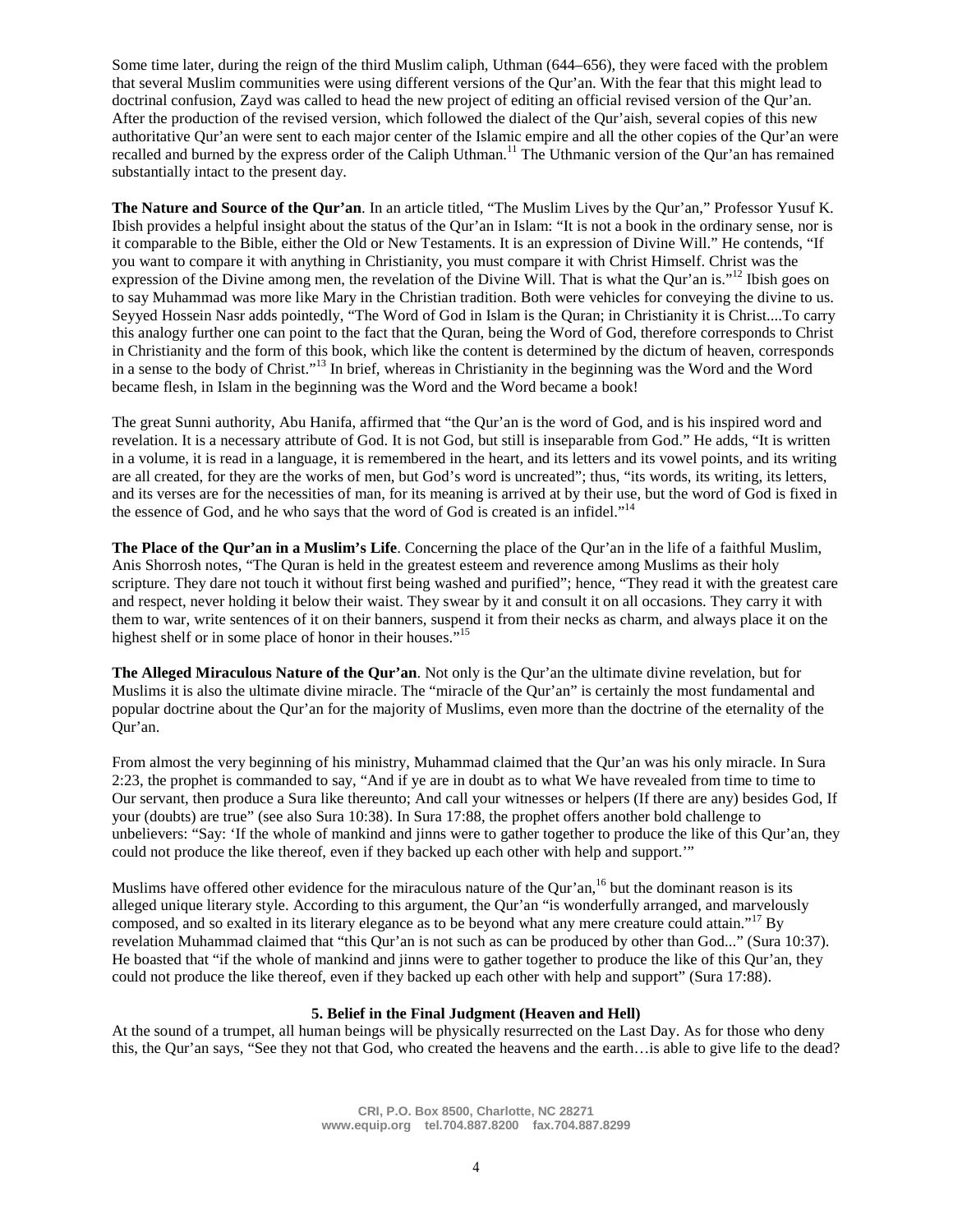Some time later, during the reign of the third Muslim caliph, Uthman (644–656), they were faced with the problem that several Muslim communities were using different versions of the Qur'an. With the fear that this might lead to doctrinal confusion, Zayd was called to head the new project of editing an official revised version of the Qur'an. After the production of the revised version, which followed the dialect of the Qur'aish, several copies of this new authoritative Qur'an were sent to each major center of the Islamic empire and all the other copies of the Qur'an were recalled and burned by the express order of the Caliph Uthman.<sup>11</sup> The Uthmanic version of the Qur'an has remained substantially intact to the present day.

**The Nature and Source of the Qur'an**. In an article titled, "The Muslim Lives by the Qur'an," Professor Yusuf K. Ibish provides a helpful insight about the status of the Qur'an in Islam: "It is not a book in the ordinary sense, nor is it comparable to the Bible, either the Old or New Testaments. It is an expression of Divine Will." He contends, "If you want to compare it with anything in Christianity, you must compare it with Christ Himself. Christ was the expression of the Divine among men, the revelation of the Divine Will. That is what the Qur'an is."<sup>12</sup> Ibish goes on to say Muhammad was more like Mary in the Christian tradition. Both were vehicles for conveying the divine to us. Seyyed Hossein Nasr adds pointedly, "The Word of God in Islam is the Quran; in Christianity it is Christ....To carry this analogy further one can point to the fact that the Quran, being the Word of God, therefore corresponds to Christ in Christianity and the form of this book, which like the content is determined by the dictum of heaven, corresponds in a sense to the body of Christ."<sup>13</sup> In brief, whereas in Christianity in the beginning was the Word and the Word became flesh, in Islam in the beginning was the Word and the Word became a book!

The great Sunni authority, Abu Hanifa, affirmed that "the Qur'an is the word of God, and is his inspired word and revelation. It is a necessary attribute of God. It is not God, but still is inseparable from God." He adds, "It is written in a volume, it is read in a language, it is remembered in the heart, and its letters and its vowel points, and its writing are all created, for they are the works of men, but God's word is uncreated"; thus, "its words, its writing, its letters, and its verses are for the necessities of man, for its meaning is arrived at by their use, but the word of God is fixed in the essence of God, and he who says that the word of God is created is an infidel."<sup>14</sup>

**The Place of the Qur'an in a Muslim's Life**. Concerning the place of the Qur'an in the life of a faithful Muslim, Anis Shorrosh notes, "The Quran is held in the greatest esteem and reverence among Muslims as their holy scripture. They dare not touch it without first being washed and purified"; hence, "They read it with the greatest care and respect, never holding it below their waist. They swear by it and consult it on all occasions. They carry it with them to war, write sentences of it on their banners, suspend it from their necks as charm, and always place it on the highest shelf or in some place of honor in their houses.<sup>515</sup>

**The Alleged Miraculous Nature of the Qur'an**. Not only is the Qur'an the ultimate divine revelation, but for Muslims it is also the ultimate divine miracle. The "miracle of the Qur'an" is certainly the most fundamental and popular doctrine about the Qur'an for the majority of Muslims, even more than the doctrine of the eternality of the Qur'an.

From almost the very beginning of his ministry, Muhammad claimed that the Qur'an was his only miracle. In Sura 2:23, the prophet is commanded to say, "And if ye are in doubt as to what We have revealed from time to time to Our servant, then produce a Sura like thereunto; And call your witnesses or helpers (If there are any) besides God, If your (doubts) are true" (see also Sura 10:38). In Sura 17:88, the prophet offers another bold challenge to unbelievers: "Say: 'If the whole of mankind and jinns were to gather together to produce the like of this Qur'an, they could not produce the like thereof, even if they backed up each other with help and support.'"

Muslims have offered other evidence for the miraculous nature of the Qur'an,<sup>16</sup> but the dominant reason is its alleged unique literary style. According to this argument, the Qur'an "is wonderfully arranged, and marvelously composed, and so exalted in its literary elegance as to be beyond what any mere creature could attain."<sup>17</sup> By revelation Muhammad claimed that "this Qur'an is not such as can be produced by other than God..." (Sura 10:37). He boasted that "if the whole of mankind and jinns were to gather together to produce the like of this Qur'an, they could not produce the like thereof, even if they backed up each other with help and support" (Sura 17:88).

#### **5. Belief in the Final Judgment (Heaven and Hell)**

At the sound of a trumpet, all human beings will be physically resurrected on the Last Day. As for those who deny this, the Qur'an says, "See they not that God, who created the heavens and the earth…is able to give life to the dead?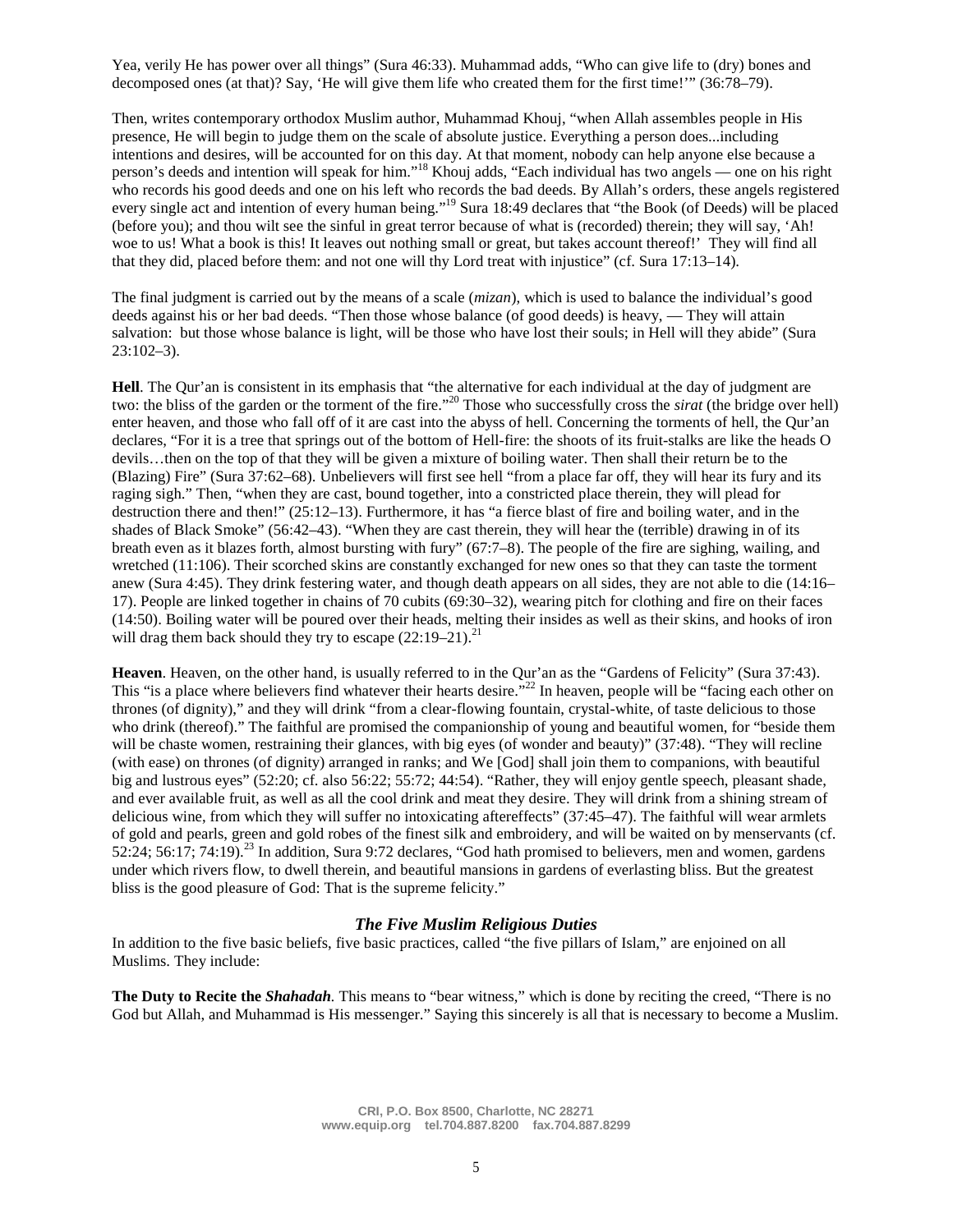Yea, verily He has power over all things" (Sura 46:33). Muhammad adds, "Who can give life to (dry) bones and decomposed ones (at that)? Say, 'He will give them life who created them for the first time!'" (36:78–79).

Then, writes contemporary orthodox Muslim author, Muhammad Khouj, "when Allah assembles people in His presence, He will begin to judge them on the scale of absolute justice. Everything a person does...including intentions and desires, will be accounted for on this day. At that moment, nobody can help anyone else because a person's deeds and intention will speak for him."<sup>18</sup> Khouj adds, "Each individual has two angels — one on his right who records his good deeds and one on his left who records the bad deeds. By Allah's orders, these angels registered every single act and intention of every human being."<sup>19</sup> Sura 18:49 declares that "the Book (of Deeds) will be placed (before you); and thou wilt see the sinful in great terror because of what is (recorded) therein; they will say, 'Ah! woe to us! What a book is this! It leaves out nothing small or great, but takes account thereof!' They will find all that they did, placed before them: and not one will thy Lord treat with injustice" (cf. Sura 17:13–14).

The final judgment is carried out by the means of a scale (*mizan*), which is used to balance the individual's good deeds against his or her bad deeds. "Then those whose balance (of good deeds) is heavy, — They will attain salvation: but those whose balance is light, will be those who have lost their souls; in Hell will they abide" (Sura 23:102–3).

**Hell**. The Qur'an is consistent in its emphasis that "the alternative for each individual at the day of judgment are two: the bliss of the garden or the torment of the fire."<sup>20</sup> Those who successfully cross the *sirat* (the bridge over hell) enter heaven, and those who fall off of it are cast into the abyss of hell. Concerning the torments of hell, the Qur'an declares, "For it is a tree that springs out of the bottom of Hell-fire: the shoots of its fruit-stalks are like the heads O devils…then on the top of that they will be given a mixture of boiling water. Then shall their return be to the (Blazing) Fire" (Sura 37:62–68). Unbelievers will first see hell "from a place far off, they will hear its fury and its raging sigh." Then, "when they are cast, bound together, into a constricted place therein, they will plead for destruction there and then!" (25:12–13). Furthermore, it has "a fierce blast of fire and boiling water, and in the shades of Black Smoke" (56:42–43). "When they are cast therein, they will hear the (terrible) drawing in of its breath even as it blazes forth, almost bursting with fury" (67:7–8). The people of the fire are sighing, wailing, and wretched (11:106). Their scorched skins are constantly exchanged for new ones so that they can taste the torment anew (Sura 4:45). They drink festering water, and though death appears on all sides, they are not able to die (14:16– 17). People are linked together in chains of 70 cubits (69:30–32), wearing pitch for clothing and fire on their faces (14:50). Boiling water will be poured over their heads, melting their insides as well as their skins, and hooks of iron will drag them back should they try to escape  $(22:19-21)^{21}$ .

**Heaven**. Heaven, on the other hand, is usually referred to in the Qur'an as the "Gardens of Felicity" (Sura 37:43). This "is a place where believers find whatever their hearts desire."<sup>22</sup> In heaven, people will be "facing each other on thrones (of dignity)," and they will drink "from a clear-flowing fountain, crystal-white, of taste delicious to those who drink (thereof)." The faithful are promised the companionship of young and beautiful women, for "beside them will be chaste women, restraining their glances, with big eyes (of wonder and beauty)" (37:48). "They will recline (with ease) on thrones (of dignity) arranged in ranks; and We [God] shall join them to companions, with beautiful big and lustrous eyes" (52:20; cf. also 56:22; 55:72; 44:54). "Rather, they will enjoy gentle speech, pleasant shade, and ever available fruit, as well as all the cool drink and meat they desire. They will drink from a shining stream of delicious wine, from which they will suffer no intoxicating aftereffects" (37:45–47). The faithful will wear armlets of gold and pearls, green and gold robes of the finest silk and embroidery, and will be waited on by menservants (cf. 52:24; 56:17; 74:19).<sup>23</sup> In addition, Sura 9:72 declares, "God hath promised to believers, men and women, gardens under which rivers flow, to dwell therein, and beautiful mansions in gardens of everlasting bliss. But the greatest bliss is the good pleasure of God: That is the supreme felicity."

#### *The Five Muslim Religious Duties*

In addition to the five basic beliefs, five basic practices, called "the five pillars of Islam," are enjoined on all Muslims. They include:

**The Duty to Recite the** *Shahadah.* This means to "bear witness," which is done by reciting the creed, "There is no God but Allah, and Muhammad is His messenger." Saying this sincerely is all that is necessary to become a Muslim.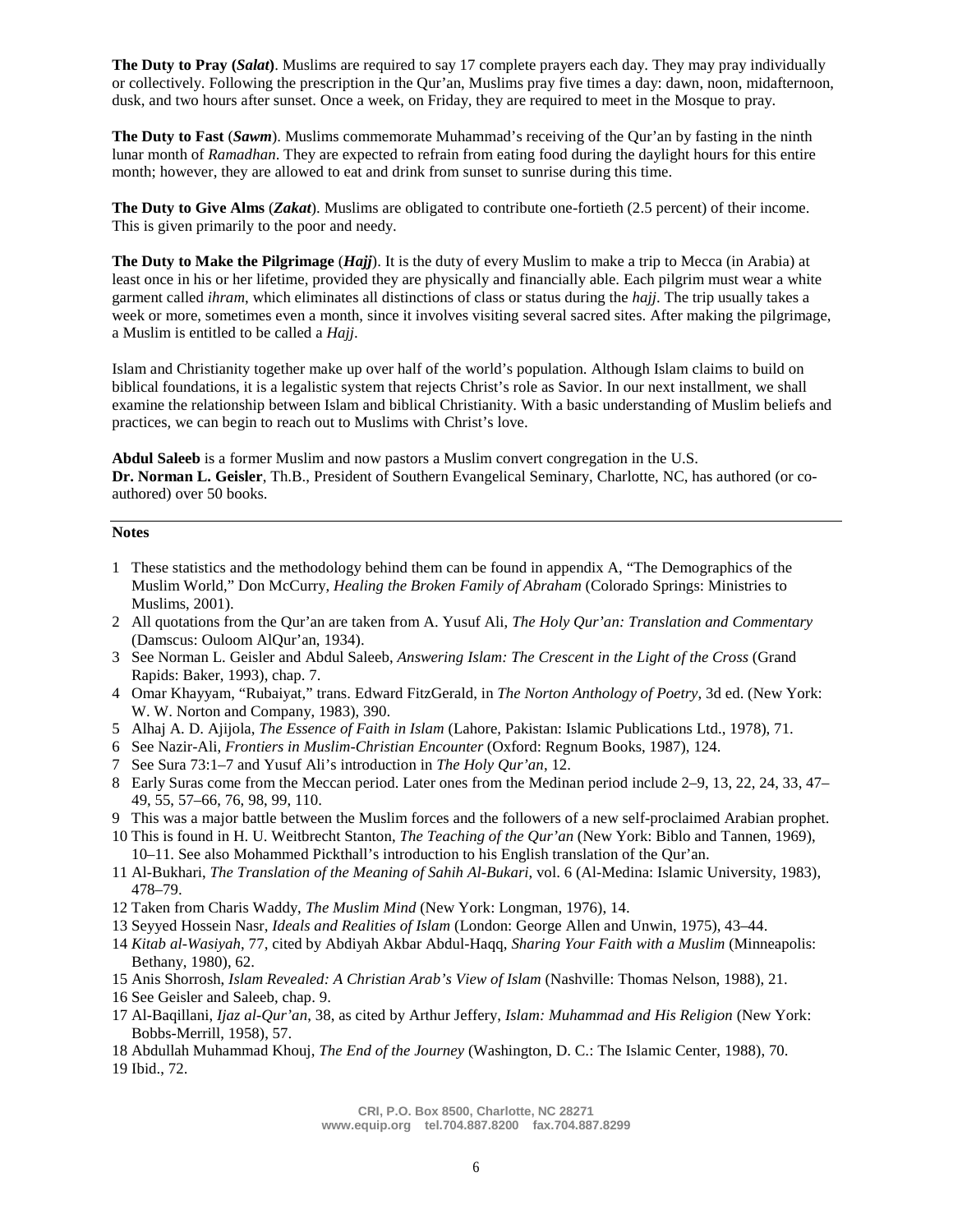**The Duty to Pray (***Salat***)**. Muslims are required to say 17 complete prayers each day. They may pray individually or collectively. Following the prescription in the Qur'an, Muslims pray five times a day: dawn, noon, midafternoon, dusk, and two hours after sunset. Once a week, on Friday, they are required to meet in the Mosque to pray.

**The Duty to Fast** (*Sawm*). Muslims commemorate Muhammad's receiving of the Qur'an by fasting in the ninth lunar month of *Ramadhan*. They are expected to refrain from eating food during the daylight hours for this entire month; however, they are allowed to eat and drink from sunset to sunrise during this time.

**The Duty to Give Alms** (*Zakat*). Muslims are obligated to contribute one-fortieth (2.5 percent) of their income. This is given primarily to the poor and needy.

**The Duty to Make the Pilgrimage** (*Hajj*). It is the duty of every Muslim to make a trip to Mecca (in Arabia) at least once in his or her lifetime, provided they are physically and financially able. Each pilgrim must wear a white garment called *ihram*, which eliminates all distinctions of class or status during the *hajj*. The trip usually takes a week or more, sometimes even a month, since it involves visiting several sacred sites. After making the pilgrimage, a Muslim is entitled to be called a *Hajj*.

Islam and Christianity together make up over half of the world's population. Although Islam claims to build on biblical foundations, it is a legalistic system that rejects Christ's role as Savior. In our next installment, we shall examine the relationship between Islam and biblical Christianity. With a basic understanding of Muslim beliefs and practices, we can begin to reach out to Muslims with Christ's love.

**Abdul Saleeb** is a former Muslim and now pastors a Muslim convert congregation in the U.S. **Dr. Norman L. Geisler**, Th.B., President of Southern Evangelical Seminary, Charlotte, NC, has authored (or coauthored) over 50 books.

#### **Notes**

- 1 These statistics and the methodology behind them can be found in appendix A, "The Demographics of the Muslim World," Don McCurry, *Healing the Broken Family of Abraham* (Colorado Springs: Ministries to Muslims, 2001).
- 2 All quotations from the Qur'an are taken from A. Yusuf Ali, *The Holy Qur'an: Translation and Commentary* (Damscus: Ouloom AlQur'an, 1934).
- 3 See Norman L. Geisler and Abdul Saleeb, *Answering Islam: The Crescent in the Light of the Cross* (Grand Rapids: Baker, 1993), chap. 7.
- 4 Omar Khayyam, "Rubaiyat," trans. Edward FitzGerald, in *The Norton Anthology of Poetry*, 3d ed. (New York: W. W. Norton and Company, 1983), 390.
- 5 Alhaj A. D. Ajijola, *The Essence of Faith in Islam* (Lahore, Pakistan: Islamic Publications Ltd., 1978), 71.
- 6 See Nazir-Ali, *Frontiers in Muslim-Christian Encounter* (Oxford: Regnum Books, 1987), 124.
- 7 See Sura 73:1–7 and Yusuf Ali's introduction in *The Holy Qur'an*, 12.
- 8 Early Suras come from the Meccan period. Later ones from the Medinan period include 2–9, 13, 22, 24, 33, 47– 49, 55, 57–66, 76, 98, 99, 110.
- 9 This was a major battle between the Muslim forces and the followers of a new self-proclaimed Arabian prophet.
- 10 This is found in H. U. Weitbrecht Stanton, *The Teaching of the Qur'an* (New York: Biblo and Tannen, 1969), 10–11. See also Mohammed Pickthall's introduction to his English translation of the Qur'an.
- 11 Al-Bukhari, *The Translation of the Meaning of Sahih Al-Bukari*, vol. 6 (Al-Medina: Islamic University, 1983), 478–79.
- 12 Taken from Charis Waddy, *The Muslim Mind* (New York: Longman, 1976), 14.
- 13 Seyyed Hossein Nasr, *Ideals and Realities of Islam* (London: George Allen and Unwin, 1975), 43–44.
- 14 *Kitab al-Wasiyah*, 77, cited by Abdiyah Akbar Abdul-Haqq, *Sharing Your Faith with a Muslim* (Minneapolis: Bethany, 1980), 62.
- 15 Anis Shorrosh, *Islam Revealed: A Christian Arab's View of Islam* (Nashville: Thomas Nelson, 1988), 21.
- 16 See Geisler and Saleeb, chap. 9.
- 17 Al-Baqillani, *Ijaz al-Qur'an*, 38, as cited by Arthur Jeffery, *Islam: Muhammad and His Religion* (New York: Bobbs-Merrill, 1958), 57.
- 18 Abdullah Muhammad Khouj, *The End of the Journey* (Washington, D. C.: The Islamic Center, 1988), 70. 19 Ibid., 72.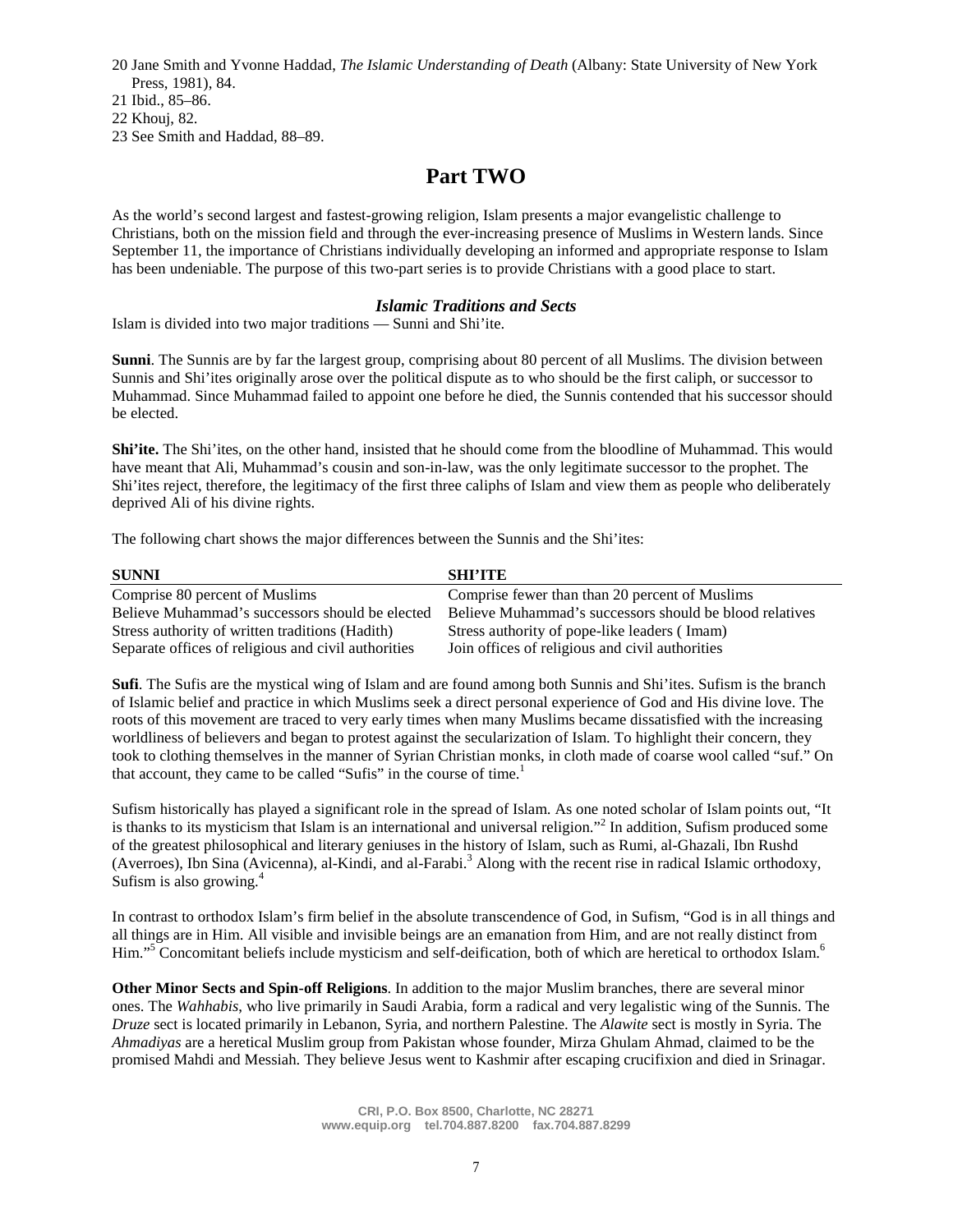20 Jane Smith and Yvonne Haddad, *The Islamic Understanding of Death* (Albany: State University of New York Press, 1981), 84.

21 Ibid., 85–86.

22 Khouj, 82.

23 See Smith and Haddad, 88–89.

# **Part TWO**

As the world's second largest and fastest-growing religion, Islam presents a major evangelistic challenge to Christians, both on the mission field and through the ever-increasing presence of Muslims in Western lands. Since September 11, the importance of Christians individually developing an informed and appropriate response to Islam has been undeniable. The purpose of this two-part series is to provide Christians with a good place to start.

# *Islamic Traditions and Sects*

Islam is divided into two major traditions — Sunni and Shi'ite.

**Sunni**. The Sunnis are by far the largest group, comprising about 80 percent of all Muslims. The division between Sunnis and Shi'ites originally arose over the political dispute as to who should be the first caliph, or successor to Muhammad. Since Muhammad failed to appoint one before he died, the Sunnis contended that his successor should be elected.

**Shi'ite.** The Shi'ites, on the other hand, insisted that he should come from the bloodline of Muhammad. This would have meant that Ali, Muhammad's cousin and son-in-law, was the only legitimate successor to the prophet. The Shi'ites reject, therefore, the legitimacy of the first three caliphs of Islam and view them as people who deliberately deprived Ali of his divine rights.

The following chart shows the major differences between the Sunnis and the Shi'ites:

| <b>SUNNI</b>                                        | <b>SHI'ITE</b>                                          |
|-----------------------------------------------------|---------------------------------------------------------|
| Comprise 80 percent of Muslims                      | Comprise fewer than than 20 percent of Muslims          |
| Believe Muhammad's successors should be elected     | Believe Muhammad's successors should be blood relatives |
| Stress authority of written traditions (Hadith)     | Stress authority of pope-like leaders (Imam)            |
| Separate offices of religious and civil authorities | Join offices of religious and civil authorities         |

**Sufi**. The Sufis are the mystical wing of Islam and are found among both Sunnis and Shi'ites. Sufism is the branch of Islamic belief and practice in which Muslims seek a direct personal experience of God and His divine love. The roots of this movement are traced to very early times when many Muslims became dissatisfied with the increasing worldliness of believers and began to protest against the secularization of Islam. To highlight their concern, they took to clothing themselves in the manner of Syrian Christian monks, in cloth made of coarse wool called "suf." On that account, they came to be called "Sufis" in the course of time.<sup>1</sup>

Sufism historically has played a significant role in the spread of Islam. As one noted scholar of Islam points out, "It is thanks to its mysticism that Islam is an international and universal religion."<sup>2</sup> In addition, Sufism produced some of the greatest philosophical and literary geniuses in the history of Islam, such as Rumi, al-Ghazali, Ibn Rushd (Averroes), Ibn Sina (Avicenna), al-Kindi, and al-Farabi.<sup>3</sup> Along with the recent rise in radical Islamic orthodoxy, Sufism is also growing.<sup>4</sup>

In contrast to orthodox Islam's firm belief in the absolute transcendence of God, in Sufism, "God is in all things and all things are in Him. All visible and invisible beings are an emanation from Him, and are not really distinct from Him."<sup>5</sup> Concomitant beliefs include mysticism and self-deification, both of which are heretical to orthodox Islam.<sup>6</sup>

**Other Minor Sects and Spin-off Religions**. In addition to the major Muslim branches, there are several minor ones. The *Wahhabis*, who live primarily in Saudi Arabia, form a radical and very legalistic wing of the Sunnis. The *Druze* sect is located primarily in Lebanon, Syria, and northern Palestine. The *Alawite* sect is mostly in Syria. The *Ahmadiyas* are a heretical Muslim group from Pakistan whose founder, Mirza Ghulam Ahmad, claimed to be the promised Mahdi and Messiah. They believe Jesus went to Kashmir after escaping crucifixion and died in Srinagar.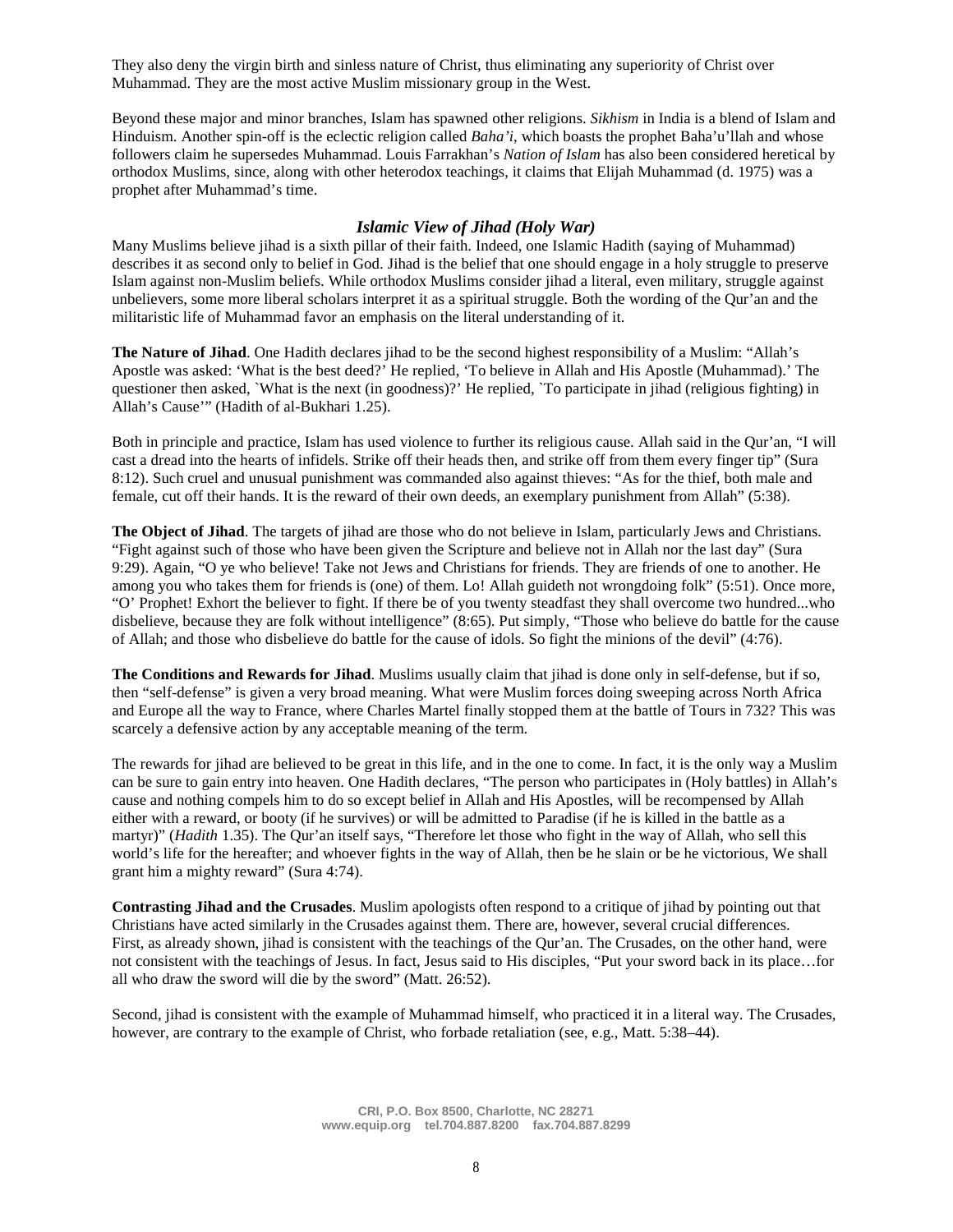They also deny the virgin birth and sinless nature of Christ, thus eliminating any superiority of Christ over Muhammad. They are the most active Muslim missionary group in the West.

Beyond these major and minor branches, Islam has spawned other religions. *Sikhism* in India is a blend of Islam and Hinduism. Another spin-off is the eclectic religion called *Baha'i*, which boasts the prophet Baha'u'llah and whose followers claim he supersedes Muhammad. Louis Farrakhan's *Nation of Islam* has also been considered heretical by orthodox Muslims, since, along with other heterodox teachings, it claims that Elijah Muhammad (d. 1975) was a prophet after Muhammad's time.

## *Islamic View of Jihad (Holy War)*

Many Muslims believe jihad is a sixth pillar of their faith. Indeed, one Islamic Hadith (saying of Muhammad) describes it as second only to belief in God. Jihad is the belief that one should engage in a holy struggle to preserve Islam against non-Muslim beliefs. While orthodox Muslims consider jihad a literal, even military, struggle against unbelievers, some more liberal scholars interpret it as a spiritual struggle. Both the wording of the Qur'an and the militaristic life of Muhammad favor an emphasis on the literal understanding of it.

**The Nature of Jihad**. One Hadith declares jihad to be the second highest responsibility of a Muslim: "Allah's Apostle was asked: 'What is the best deed?' He replied, 'To believe in Allah and His Apostle (Muhammad).' The questioner then asked, `What is the next (in goodness)?' He replied, `To participate in jihad (religious fighting) in Allah's Cause'" (Hadith of al-Bukhari 1.25).

Both in principle and practice, Islam has used violence to further its religious cause. Allah said in the Qur'an, "I will cast a dread into the hearts of infidels. Strike off their heads then, and strike off from them every finger tip" (Sura 8:12). Such cruel and unusual punishment was commanded also against thieves: "As for the thief, both male and female, cut off their hands. It is the reward of their own deeds, an exemplary punishment from Allah" (5:38).

**The Object of Jihad**. The targets of jihad are those who do not believe in Islam, particularly Jews and Christians. "Fight against such of those who have been given the Scripture and believe not in Allah nor the last day" (Sura 9:29). Again, "O ye who believe! Take not Jews and Christians for friends. They are friends of one to another. He among you who takes them for friends is (one) of them. Lo! Allah guideth not wrongdoing folk" (5:51). Once more, "O' Prophet! Exhort the believer to fight. If there be of you twenty steadfast they shall overcome two hundred...who disbelieve, because they are folk without intelligence" (8:65). Put simply, "Those who believe do battle for the cause of Allah; and those who disbelieve do battle for the cause of idols. So fight the minions of the devil" (4:76).

**The Conditions and Rewards for Jihad**. Muslims usually claim that jihad is done only in self-defense, but if so, then "self-defense" is given a very broad meaning. What were Muslim forces doing sweeping across North Africa and Europe all the way to France, where Charles Martel finally stopped them at the battle of Tours in 732? This was scarcely a defensive action by any acceptable meaning of the term.

The rewards for jihad are believed to be great in this life, and in the one to come. In fact, it is the only way a Muslim can be sure to gain entry into heaven. One Hadith declares, "The person who participates in (Holy battles) in Allah's cause and nothing compels him to do so except belief in Allah and His Apostles, will be recompensed by Allah either with a reward, or booty (if he survives) or will be admitted to Paradise (if he is killed in the battle as a martyr)" (*Hadith* 1.35). The Qur'an itself says, "Therefore let those who fight in the way of Allah, who sell this world's life for the hereafter; and whoever fights in the way of Allah, then be he slain or be he victorious, We shall grant him a mighty reward" (Sura 4:74).

**Contrasting Jihad and the Crusades**. Muslim apologists often respond to a critique of jihad by pointing out that Christians have acted similarly in the Crusades against them. There are, however, several crucial differences. First, as already shown, jihad is consistent with the teachings of the Qur'an. The Crusades, on the other hand, were not consistent with the teachings of Jesus. In fact, Jesus said to His disciples, "Put your sword back in its place…for all who draw the sword will die by the sword" (Matt. 26:52).

Second, jihad is consistent with the example of Muhammad himself, who practiced it in a literal way. The Crusades, however, are contrary to the example of Christ, who forbade retaliation (see, e.g., Matt. 5:38–44).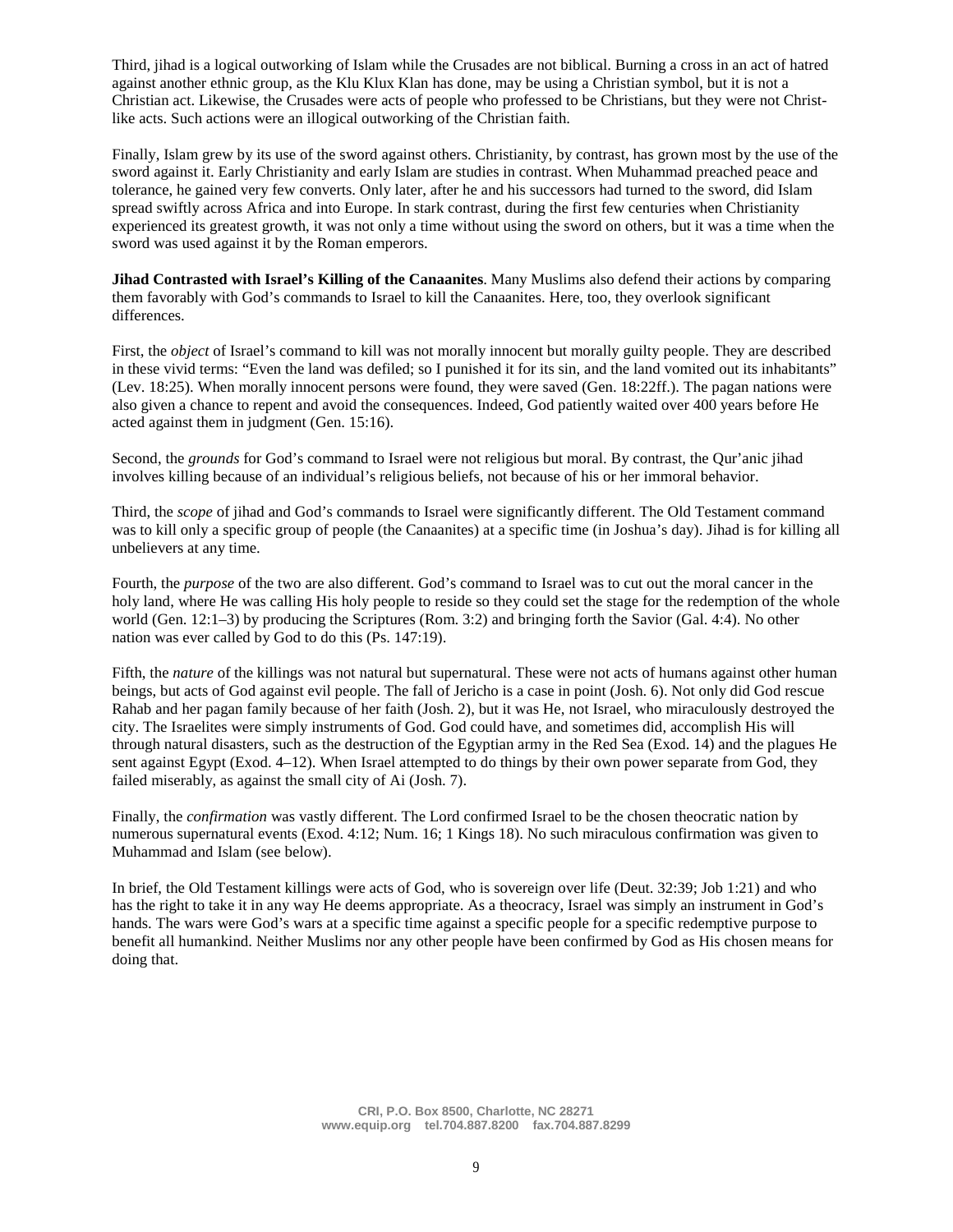Third, jihad is a logical outworking of Islam while the Crusades are not biblical. Burning a cross in an act of hatred against another ethnic group, as the Klu Klux Klan has done, may be using a Christian symbol, but it is not a Christian act. Likewise, the Crusades were acts of people who professed to be Christians, but they were not Christlike acts. Such actions were an illogical outworking of the Christian faith.

Finally, Islam grew by its use of the sword against others. Christianity, by contrast, has grown most by the use of the sword against it. Early Christianity and early Islam are studies in contrast. When Muhammad preached peace and tolerance, he gained very few converts. Only later, after he and his successors had turned to the sword, did Islam spread swiftly across Africa and into Europe. In stark contrast, during the first few centuries when Christianity experienced its greatest growth, it was not only a time without using the sword on others, but it was a time when the sword was used against it by the Roman emperors.

**Jihad Contrasted with Israel's Killing of the Canaanites**. Many Muslims also defend their actions by comparing them favorably with God's commands to Israel to kill the Canaanites. Here, too, they overlook significant differences.

First, the *object* of Israel's command to kill was not morally innocent but morally guilty people. They are described in these vivid terms: "Even the land was defiled; so I punished it for its sin, and the land vomited out its inhabitants" (Lev. 18:25). When morally innocent persons were found, they were saved (Gen. 18:22ff.). The pagan nations were also given a chance to repent and avoid the consequences. Indeed, God patiently waited over 400 years before He acted against them in judgment (Gen. 15:16).

Second, the *grounds* for God's command to Israel were not religious but moral. By contrast, the Qur'anic jihad involves killing because of an individual's religious beliefs, not because of his or her immoral behavior.

Third, the *scope* of jihad and God's commands to Israel were significantly different. The Old Testament command was to kill only a specific group of people (the Canaanites) at a specific time (in Joshua's day). Jihad is for killing all unbelievers at any time.

Fourth, the *purpose* of the two are also different. God's command to Israel was to cut out the moral cancer in the holy land, where He was calling His holy people to reside so they could set the stage for the redemption of the whole world (Gen. 12:1–3) by producing the Scriptures (Rom. 3:2) and bringing forth the Savior (Gal. 4:4). No other nation was ever called by God to do this (Ps. 147:19).

Fifth, the *nature* of the killings was not natural but supernatural. These were not acts of humans against other human beings, but acts of God against evil people. The fall of Jericho is a case in point (Josh. 6). Not only did God rescue Rahab and her pagan family because of her faith (Josh. 2), but it was He, not Israel, who miraculously destroyed the city. The Israelites were simply instruments of God. God could have, and sometimes did, accomplish His will through natural disasters, such as the destruction of the Egyptian army in the Red Sea (Exod. 14) and the plagues He sent against Egypt (Exod. 4–12). When Israel attempted to do things by their own power separate from God, they failed miserably, as against the small city of Ai (Josh. 7).

Finally, the *confirmation* was vastly different. The Lord confirmed Israel to be the chosen theocratic nation by numerous supernatural events (Exod. 4:12; Num. 16; 1 Kings 18). No such miraculous confirmation was given to Muhammad and Islam (see below).

In brief, the Old Testament killings were acts of God, who is sovereign over life (Deut. 32:39; Job 1:21) and who has the right to take it in any way He deems appropriate. As a theocracy, Israel was simply an instrument in God's hands. The wars were God's wars at a specific time against a specific people for a specific redemptive purpose to benefit all humankind. Neither Muslims nor any other people have been confirmed by God as His chosen means for doing that.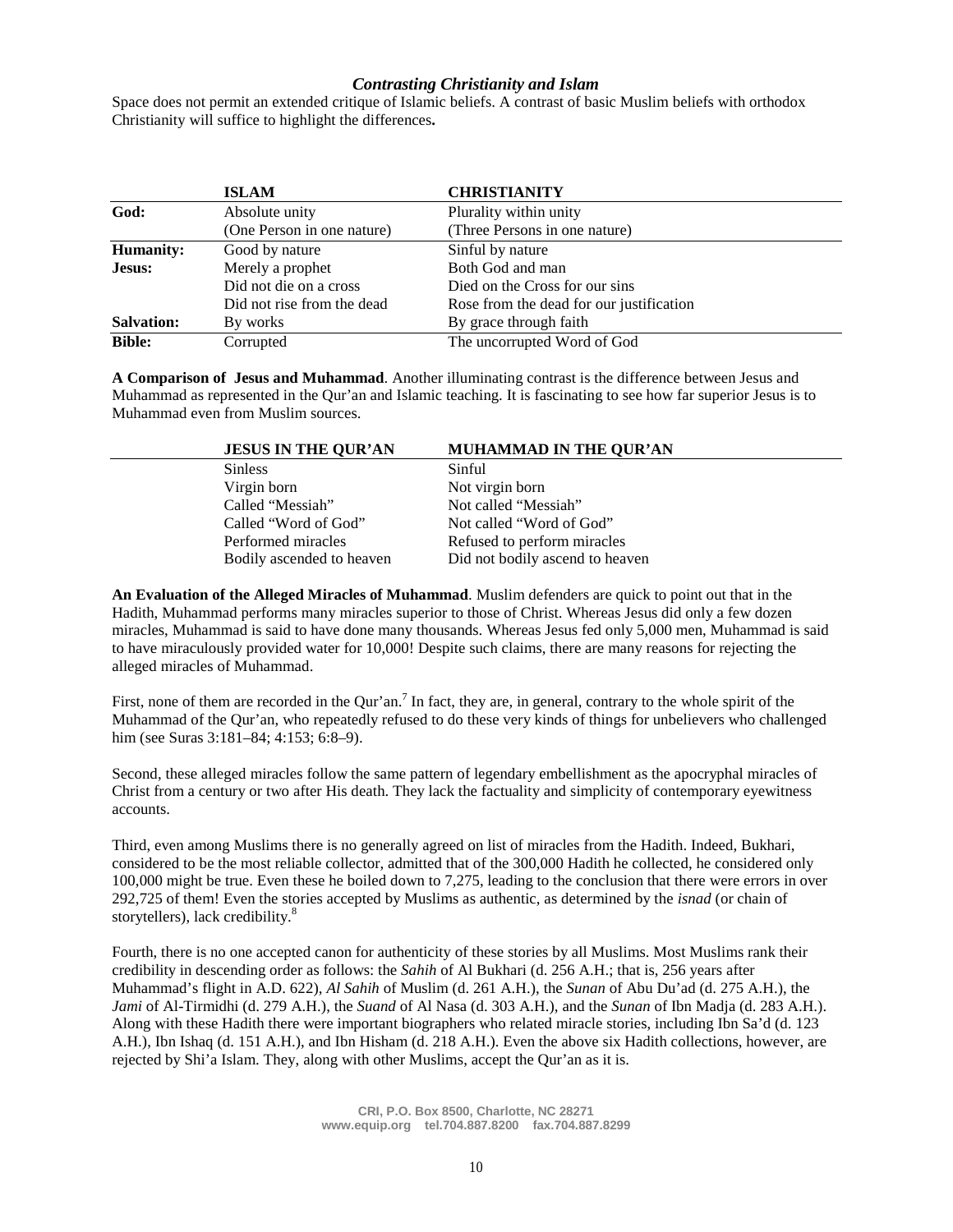### *Contrasting Christianity and Islam*

Space does not permit an extended critique of Islamic beliefs. A contrast of basic Muslim beliefs with orthodox Christianity will suffice to highlight the differences**.**

|                   | <b>ISLAM</b>               | <b>CHRISTIANITY</b>                      |
|-------------------|----------------------------|------------------------------------------|
| God:              | Absolute unity             | Plurality within unity                   |
|                   | (One Person in one nature) | (Three Persons in one nature)            |
| <b>Humanity:</b>  | Good by nature             | Sinful by nature                         |
| Jesus:            | Merely a prophet           | Both God and man                         |
|                   | Did not die on a cross     | Died on the Cross for our sins           |
|                   | Did not rise from the dead | Rose from the dead for our justification |
| <b>Salvation:</b> | By works                   | By grace through faith                   |
| <b>Bible:</b>     | Corrupted                  | The uncorrupted Word of God              |

**A Comparison of Jesus and Muhammad**. Another illuminating contrast is the difference between Jesus and Muhammad as represented in the Qur'an and Islamic teaching. It is fascinating to see how far superior Jesus is to Muhammad even from Muslim sources.

| <b>JESUS IN THE QUR'AN</b> | <b>MUHAMMAD IN THE QUR'AN</b>   |  |
|----------------------------|---------------------------------|--|
| <b>Sinless</b>             | Sinful                          |  |
| Virgin born                | Not virgin born                 |  |
| Called "Messiah"           | Not called "Messiah"            |  |
| Called "Word of God"       | Not called "Word of God"        |  |
| Performed miracles         | Refused to perform miracles     |  |
| Bodily ascended to heaven  | Did not bodily ascend to heaven |  |
|                            |                                 |  |

**An Evaluation of the Alleged Miracles of Muhammad**. Muslim defenders are quick to point out that in the Hadith, Muhammad performs many miracles superior to those of Christ. Whereas Jesus did only a few dozen miracles, Muhammad is said to have done many thousands. Whereas Jesus fed only 5,000 men, Muhammad is said to have miraculously provided water for 10,000! Despite such claims, there are many reasons for rejecting the alleged miracles of Muhammad.

First, none of them are recorded in the Qur'an.<sup>7</sup> In fact, they are, in general, contrary to the whole spirit of the Muhammad of the Qur'an, who repeatedly refused to do these very kinds of things for unbelievers who challenged him (see Suras 3:181–84; 4:153; 6:8–9).

Second, these alleged miracles follow the same pattern of legendary embellishment as the apocryphal miracles of Christ from a century or two after His death. They lack the factuality and simplicity of contemporary eyewitness accounts.

Third, even among Muslims there is no generally agreed on list of miracles from the Hadith. Indeed, Bukhari, considered to be the most reliable collector, admitted that of the 300,000 Hadith he collected, he considered only 100,000 might be true. Even these he boiled down to 7,275, leading to the conclusion that there were errors in over 292,725 of them! Even the stories accepted by Muslims as authentic, as determined by the *isnad* (or chain of storytellers), lack credibility.<sup>8</sup>

Fourth, there is no one accepted canon for authenticity of these stories by all Muslims. Most Muslims rank their credibility in descending order as follows: the *Sahih* of Al Bukhari (d. 256 A.H.; that is, 256 years after Muhammad's flight in A.D. 622), *Al Sahih* of Muslim (d. 261 A.H.), the *Sunan* of Abu Du'ad (d. 275 A.H.), the *Jami* of Al-Tirmidhi (d. 279 A.H.), the *Suand* of Al Nasa (d. 303 A.H.), and the *Sunan* of Ibn Madja (d. 283 A.H.). Along with these Hadith there were important biographers who related miracle stories, including Ibn Sa'd (d. 123 A.H.), Ibn Ishaq (d. 151 A.H.), and Ibn Hisham (d. 218 A.H.). Even the above six Hadith collections, however, are rejected by Shi'a Islam. They, along with other Muslims, accept the Qur'an as it is.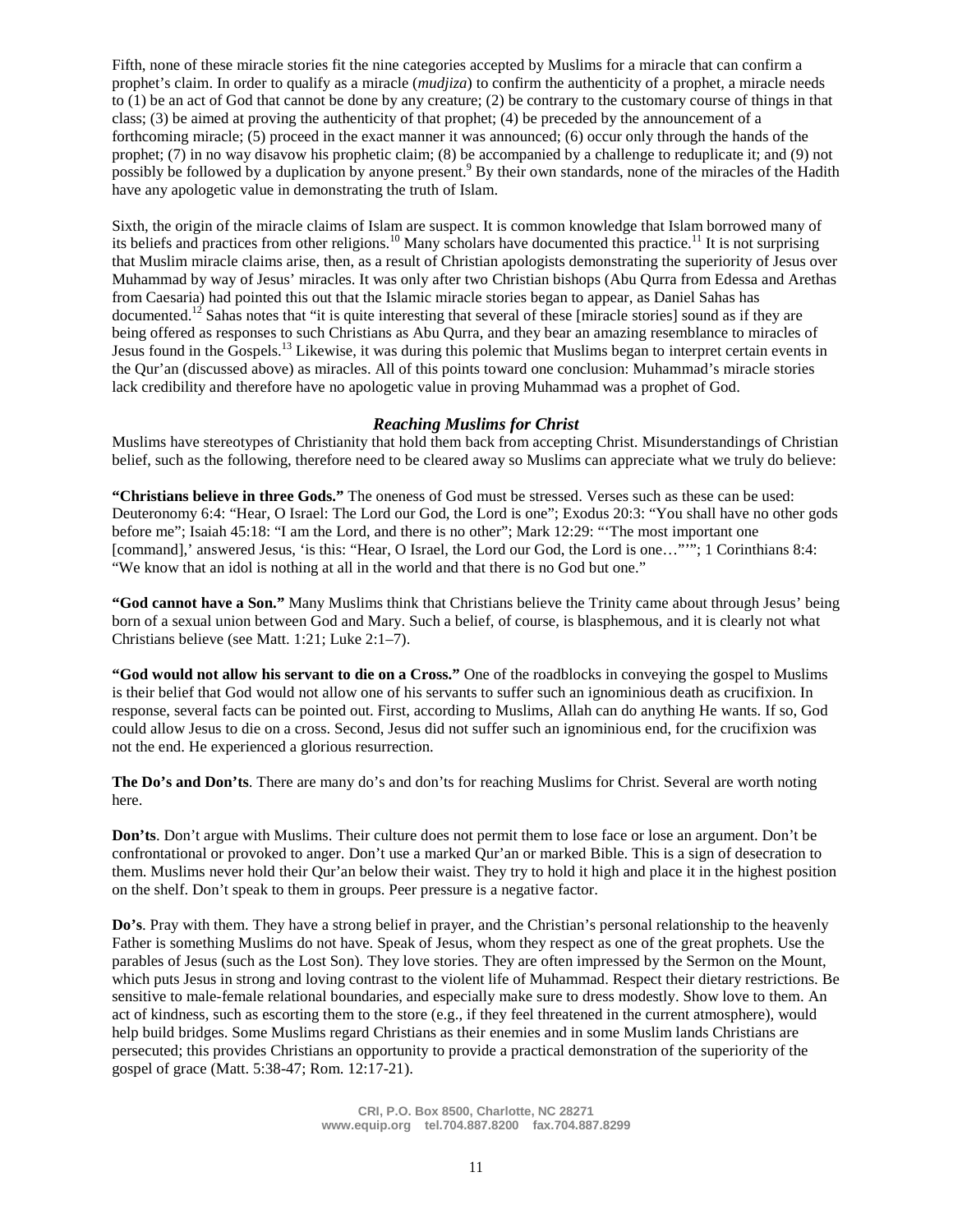Fifth, none of these miracle stories fit the nine categories accepted by Muslims for a miracle that can confirm a prophet's claim. In order to qualify as a miracle (*mudjiza*) to confirm the authenticity of a prophet, a miracle needs to (1) be an act of God that cannot be done by any creature; (2) be contrary to the customary course of things in that class; (3) be aimed at proving the authenticity of that prophet; (4) be preceded by the announcement of a forthcoming miracle; (5) proceed in the exact manner it was announced; (6) occur only through the hands of the prophet; (7) in no way disavow his prophetic claim; (8) be accompanied by a challenge to reduplicate it; and (9) not possibly be followed by a duplication by anyone present.<sup>9</sup> By their own standards, none of the miracles of the Hadith have any apologetic value in demonstrating the truth of Islam.

Sixth, the origin of the miracle claims of Islam are suspect. It is common knowledge that Islam borrowed many of its beliefs and practices from other religions.<sup>10</sup> Many scholars have documented this practice.<sup>11</sup> It is not surprising that Muslim miracle claims arise, then, as a result of Christian apologists demonstrating the superiority of Jesus over Muhammad by way of Jesus' miracles. It was only after two Christian bishops (Abu Qurra from Edessa and Arethas from Caesaria) had pointed this out that the Islamic miracle stories began to appear, as Daniel Sahas has documented.<sup>12</sup> Sahas notes that "it is quite interesting that several of these [miracle stories] sound as if they are being offered as responses to such Christians as Abu Qurra, and they bear an amazing resemblance to miracles of Jesus found in the Gospels.<sup>13</sup> Likewise, it was during this polemic that Muslims began to interpret certain events in the Qur'an (discussed above) as miracles. All of this points toward one conclusion: Muhammad's miracle stories lack credibility and therefore have no apologetic value in proving Muhammad was a prophet of God.

## *Reaching Muslims for Christ*

Muslims have stereotypes of Christianity that hold them back from accepting Christ. Misunderstandings of Christian belief, such as the following, therefore need to be cleared away so Muslims can appreciate what we truly do believe:

**"Christians believe in three Gods."** The oneness of God must be stressed. Verses such as these can be used: Deuteronomy 6:4: "Hear, O Israel: The Lord our God, the Lord is one"; Exodus 20:3: "You shall have no other gods before me"; Isaiah 45:18: "I am the Lord, and there is no other"; Mark 12:29: "'The most important one [command],' answered Jesus, 'is this: "Hear, O Israel, the Lord our God, the Lord is one…"'"; 1 Corinthians 8:4: "We know that an idol is nothing at all in the world and that there is no God but one."

**"God cannot have a Son."** Many Muslims think that Christians believe the Trinity came about through Jesus' being born of a sexual union between God and Mary. Such a belief, of course, is blasphemous, and it is clearly not what Christians believe (see Matt. 1:21; Luke 2:1–7).

**"God would not allow his servant to die on a Cross."** One of the roadblocks in conveying the gospel to Muslims is their belief that God would not allow one of his servants to suffer such an ignominious death as crucifixion. In response, several facts can be pointed out. First, according to Muslims, Allah can do anything He wants. If so, God could allow Jesus to die on a cross. Second, Jesus did not suffer such an ignominious end, for the crucifixion was not the end. He experienced a glorious resurrection.

**The Do's and Don'ts**. There are many do's and don'ts for reaching Muslims for Christ. Several are worth noting here.

**Don'ts**. Don't argue with Muslims. Their culture does not permit them to lose face or lose an argument. Don't be confrontational or provoked to anger. Don't use a marked Qur'an or marked Bible. This is a sign of desecration to them. Muslims never hold their Qur'an below their waist. They try to hold it high and place it in the highest position on the shelf. Don't speak to them in groups. Peer pressure is a negative factor.

**Do's**. Pray with them. They have a strong belief in prayer, and the Christian's personal relationship to the heavenly Father is something Muslims do not have. Speak of Jesus, whom they respect as one of the great prophets. Use the parables of Jesus (such as the Lost Son). They love stories. They are often impressed by the Sermon on the Mount, which puts Jesus in strong and loving contrast to the violent life of Muhammad. Respect their dietary restrictions. Be sensitive to male-female relational boundaries, and especially make sure to dress modestly. Show love to them. An act of kindness, such as escorting them to the store (e.g., if they feel threatened in the current atmosphere), would help build bridges. Some Muslims regard Christians as their enemies and in some Muslim lands Christians are persecuted; this provides Christians an opportunity to provide a practical demonstration of the superiority of the gospel of grace (Matt. 5:38-47; Rom. 12:17-21).